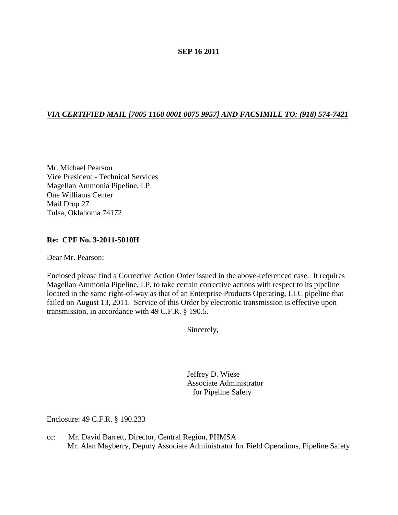## **SEP 16 2011**

# *VIA CERTIFIED MAIL [7005 1160 0001 0075 9957] AND FACSIMILE TO: (918) 574-7421*

Mr. Michael Pearson Vice President - Technical Services Magellan Ammonia Pipeline, LP One Williams Center Mail Drop 27 Tulsa, Oklahoma 74172

### **Re: CPF No. 3-2011-5010H**

Dear Mr. Pearson:

Enclosed please find a Corrective Action Order issued in the above-referenced case. It requires Magellan Ammonia Pipeline, LP, to take certain corrective actions with respect to its pipeline located in the same right-of-way as that of an Enterprise Products Operating, LLC pipeline that failed on August 13, 2011. Service of this Order by electronic transmission is effective upon transmission, in accordance with 49 C.F.R. § 190.5.

Sincerely,

Jeffrey D. Wiese Associate Administrator for Pipeline Safety

Enclosure: 49 C.F.R. § 190.233

cc: Mr. David Barrett, Director, Central Region, PHMSA Mr. Alan Mayberry, Deputy Associate Administrator for Field Operations, Pipeline Safety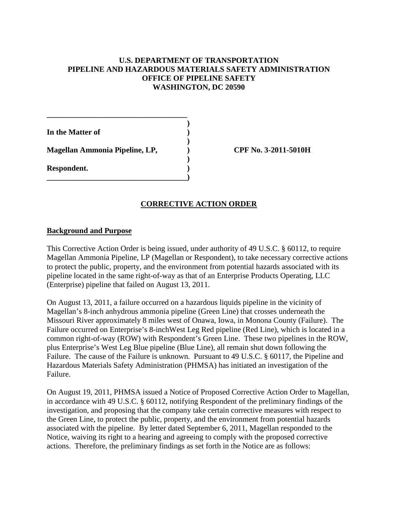# **U.S. DEPARTMENT OF TRANSPORTATION PIPELINE AND HAZARDOUS MATERIALS SAFETY ADMINISTRATION OFFICE OF PIPELINE SAFETY WASHINGTON, DC 20590**

**)**

**)**

**)**

**In the Matter of ) Magellan Ammonia Pipeline, LP, ) CPF No. 3-2011-5010H Respondent. ) \_\_\_\_\_\_\_\_\_\_\_\_\_\_\_\_\_\_\_\_\_\_\_\_\_\_\_\_\_\_\_\_\_\_\_\_)**

**\_\_\_\_\_\_\_\_\_\_\_\_\_\_\_\_\_\_\_\_\_\_\_\_\_\_\_\_\_\_\_\_\_\_\_\_**

# **CORRECTIVE ACTION ORDER**

### **Background and Purpose**

This Corrective Action Order is being issued, under authority of 49 U.S.C. § 60112, to require Magellan Ammonia Pipeline, LP (Magellan or Respondent), to take necessary corrective actions to protect the public, property, and the environment from potential hazards associated with its pipeline located in the same right-of-way as that of an Enterprise Products Operating, LLC (Enterprise) pipeline that failed on August 13, 2011.

On August 13, 2011, a failure occurred on a hazardous liquids pipeline in the vicinity of Magellan's 8-inch anhydrous ammonia pipeline (Green Line) that crosses underneath the Missouri River approximately 8 miles west of Onawa, Iowa, in Monona County (Failure). The Failure occurred on Enterprise's 8-inchWest Leg Red pipeline (Red Line), which is located in a common right-of-way (ROW) with Respondent's Green Line. These two pipelines in the ROW, plus Enterprise's West Leg Blue pipeline (Blue Line), all remain shut down following the Failure. The cause of the Failure is unknown. Pursuant to 49 U.S.C. § 60117, the Pipeline and Hazardous Materials Safety Administration (PHMSA) has initiated an investigation of the Failure.

On August 19, 2011, PHMSA issued a Notice of Proposed Corrective Action Order to Magellan, in accordance with 49 U.S.C. § 60112, notifying Respondent of the preliminary findings of the investigation, and proposing that the company take certain corrective measures with respect to the Green Line, to protect the public, property, and the environment from potential hazards associated with the pipeline. By letter dated September 6, 2011, Magellan responded to the Notice, waiving its right to a hearing and agreeing to comply with the proposed corrective actions. Therefore, the preliminary findings as set forth in the Notice are as follows: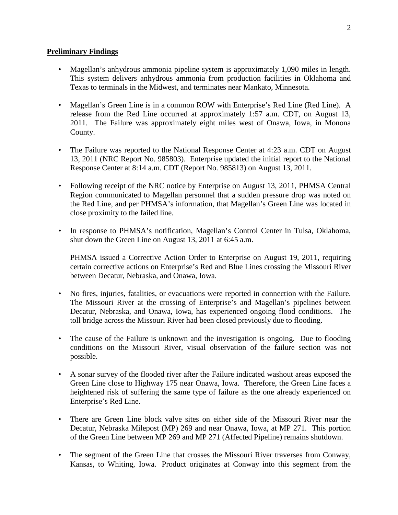## **Preliminary Findings**

- Magellan's anhydrous ammonia pipeline system is approximately 1,090 miles in length. This system delivers anhydrous ammonia from production facilities in Oklahoma and Texas to terminals in the Midwest, and terminates near Mankato, Minnesota.
- Magellan's Green Line is in a common ROW with Enterprise's Red Line (Red Line). A release from the Red Line occurred at approximately 1:57 a.m. CDT, on August 13, 2011. The Failure was approximately eight miles west of Onawa, Iowa, in Monona County.
- The Failure was reported to the National Response Center at 4:23 a.m. CDT on August 13, 2011 (NRC Report No. 985803). Enterprise updated the initial report to the National Response Center at 8:14 a.m. CDT (Report No. 985813) on August 13, 2011.
- Following receipt of the NRC notice by Enterprise on August 13, 2011, PHMSA Central Region communicated to Magellan personnel that a sudden pressure drop was noted on the Red Line, and per PHMSA's information, that Magellan's Green Line was located in close proximity to the failed line.
- In response to PHMSA's notification, Magellan's Control Center in Tulsa, Oklahoma, shut down the Green Line on August 13, 2011 at 6:45 a.m.

PHMSA issued a Corrective Action Order to Enterprise on August 19, 2011, requiring certain corrective actions on Enterprise's Red and Blue Lines crossing the Missouri River between Decatur, Nebraska, and Onawa, Iowa.

- No fires, injuries, fatalities, or evacuations were reported in connection with the Failure. The Missouri River at the crossing of Enterprise's and Magellan's pipelines between Decatur, Nebraska, and Onawa, Iowa, has experienced ongoing flood conditions. The toll bridge across the Missouri River had been closed previously due to flooding.
- The cause of the Failure is unknown and the investigation is ongoing. Due to flooding conditions on the Missouri River, visual observation of the failure section was not possible.
- A sonar survey of the flooded river after the Failure indicated washout areas exposed the Green Line close to Highway 175 near Onawa, Iowa. Therefore, the Green Line faces a heightened risk of suffering the same type of failure as the one already experienced on Enterprise's Red Line.
- There are Green Line block valve sites on either side of the Missouri River near the Decatur, Nebraska Milepost (MP) 269 and near Onawa, Iowa, at MP 271. This portion of the Green Line between MP 269 and MP 271 (Affected Pipeline) remains shutdown.
- The segment of the Green Line that crosses the Missouri River traverses from Conway, Kansas, to Whiting, Iowa. Product originates at Conway into this segment from the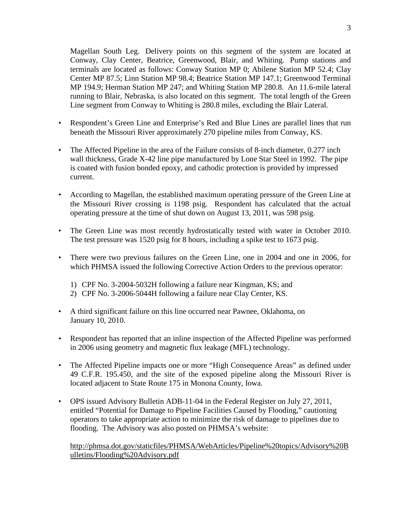Magellan South Leg. Delivery points on this segment of the system are located at Conway, Clay Center, Beatrice, Greenwood, Blair, and Whiting. Pump stations and terminals are located as follows: Conway Station MP 0; Abilene Station MP 52.4; Clay Center MP 87.5; Linn Station MP 98.4; Beatrice Station MP 147.1; Greenwood Terminal MP 194.9; Herman Station MP 247; and Whiting Station MP 280.8. An 11.6-mile lateral running to Blair, Nebraska, is also located on this segment. The total length of the Green Line segment from Conway to Whiting is 280.8 miles, excluding the Blair Lateral.

- Respondent's Green Line and Enterprise's Red and Blue Lines are parallel lines that run beneath the Missouri River approximately 270 pipeline miles from Conway, KS.
- The Affected Pipeline in the area of the Failure consists of 8-inch diameter, 0.277 inch wall thickness, Grade X-42 line pipe manufactured by Lone Star Steel in 1992. The pipe is coated with fusion bonded epoxy, and cathodic protection is provided by impressed current.
- According to Magellan, the established maximum operating pressure of the Green Line at the Missouri River crossing is 1198 psig. Respondent has calculated that the actual operating pressure at the time of shut down on August 13, 2011, was 598 psig.
- The Green Line was most recently hydrostatically tested with water in October 2010. The test pressure was 1520 psig for 8 hours, including a spike test to 1673 psig.
- There were two previous failures on the Green Line, one in 2004 and one in 2006, for which PHMSA issued the following Corrective Action Orders to the previous operator:
	- 1) CPF No. 3-2004-5032H following a failure near Kingman, KS; and
	- 2) CPF No. 3-2006-5044H following a failure near Clay Center, KS.
- A third significant failure on this line occurred near Pawnee, Oklahoma, on January 10, 2010.
- Respondent has reported that an inline inspection of the Affected Pipeline was performed in 2006 using geometry and magnetic flux leakage (MFL) technology.
- The Affected Pipeline impacts one or more "High Consequence Areas" as defined under 49 C.F.R. 195.450, and the site of the exposed pipeline along the Missouri River is located adjacent to State Route 175 in Monona County, Iowa.
- OPS issued Advisory Bulletin ADB-11-04 in the Federal Register on July 27, 2011, entitled "Potential for Damage to Pipeline Facilities Caused by Flooding," cautioning operators to take appropriate action to minimize the risk of damage to pipelines due to flooding. The Advisory was also posted on PHMSA's website:

http://phmsa.dot.gov/staticfiles/PHMSA/WebArticles/Pipeline%20topics/Advisory%20B ulletins/Flooding%20Advisory.pdf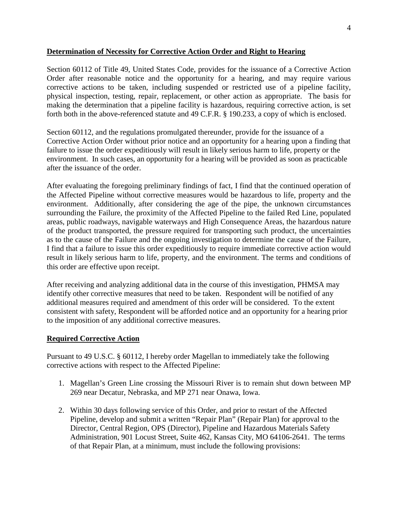## **Determination of Necessity for Corrective Action Order and Right to Hearing**

Section 60112 of Title 49, United States Code, provides for the issuance of a Corrective Action Order after reasonable notice and the opportunity for a hearing, and may require various corrective actions to be taken, including suspended or restricted use of a pipeline facility, physical inspection, testing, repair, replacement, or other action as appropriate. The basis for making the determination that a pipeline facility is hazardous, requiring corrective action, is set forth both in the above-referenced statute and 49 C.F.R. § 190.233, a copy of which is enclosed.

Section 60112, and the regulations promulgated thereunder, provide for the issuance of a Corrective Action Order without prior notice and an opportunity for a hearing upon a finding that failure to issue the order expeditiously will result in likely serious harm to life, property or the environment. In such cases, an opportunity for a hearing will be provided as soon as practicable after the issuance of the order.

After evaluating the foregoing preliminary findings of fact, I find that the continued operation of the Affected Pipeline without corrective measures would be hazardous to life, property and the environment. Additionally, after considering the age of the pipe, the unknown circumstances surrounding the Failure, the proximity of the Affected Pipeline to the failed Red Line, populated areas, public roadways, navigable waterways and High Consequence Areas, the hazardous nature of the product transported, the pressure required for transporting such product, the uncertainties as to the cause of the Failure and the ongoing investigation to determine the cause of the Failure, I find that a failure to issue this order expeditiously to require immediate corrective action would result in likely serious harm to life, property, and the environment. The terms and conditions of this order are effective upon receipt.

After receiving and analyzing additional data in the course of this investigation, PHMSA may identify other corrective measures that need to be taken. Respondent will be notified of any additional measures required and amendment of this order will be considered. To the extent consistent with safety, Respondent will be afforded notice and an opportunity for a hearing prior to the imposition of any additional corrective measures.

## **Required Corrective Action**

Pursuant to 49 U.S.C. § 60112, I hereby order Magellan to immediately take the following corrective actions with respect to the Affected Pipeline:

- 1. Magellan's Green Line crossing the Missouri River is to remain shut down between MP 269 near Decatur, Nebraska, and MP 271 near Onawa, Iowa.
- 2. Within 30 days following service of this Order, and prior to restart of the Affected Pipeline, develop and submit a written "Repair Plan" (Repair Plan) for approval to the Director, Central Region, OPS (Director), Pipeline and Hazardous Materials Safety Administration, 901 Locust Street, Suite 462, Kansas City, MO 64106-2641. The terms of that Repair Plan, at a minimum, must include the following provisions: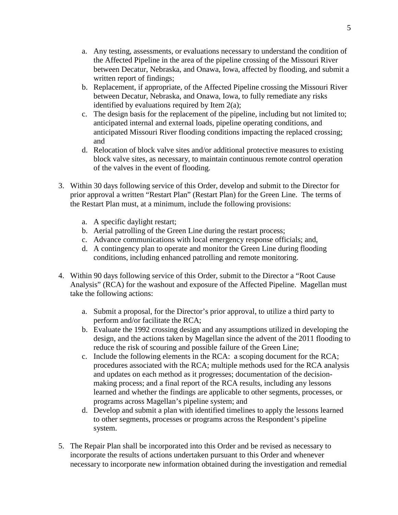- a. Any testing, assessments, or evaluations necessary to understand the condition of the Affected Pipeline in the area of the pipeline crossing of the Missouri River between Decatur, Nebraska, and Onawa, Iowa, affected by flooding, and submit a written report of findings;
- b. Replacement, if appropriate, of the Affected Pipeline crossing the Missouri River between Decatur, Nebraska, and Onawa, Iowa, to fully remediate any risks identified by evaluations required by Item 2(a);
- c. The design basis for the replacement of the pipeline, including but not limited to; anticipated internal and external loads, pipeline operating conditions, and anticipated Missouri River flooding conditions impacting the replaced crossing; and
- d. Relocation of block valve sites and/or additional protective measures to existing block valve sites, as necessary, to maintain continuous remote control operation of the valves in the event of flooding.
- 3. Within 30 days following service of this Order, develop and submit to the Director for prior approval a written "Restart Plan" (Restart Plan) for the Green Line. The terms of the Restart Plan must, at a minimum, include the following provisions:
	- a. A specific daylight restart;
	- b. Aerial patrolling of the Green Line during the restart process;
	- c. Advance communications with local emergency response officials; and,
	- d. A contingency plan to operate and monitor the Green Line during flooding conditions, including enhanced patrolling and remote monitoring.
- 4. Within 90 days following service of this Order, submit to the Director a "Root Cause Analysis" (RCA) for the washout and exposure of the Affected Pipeline. Magellan must take the following actions:
	- a. Submit a proposal, for the Director's prior approval, to utilize a third party to perform and/or facilitate the RCA;
	- b. Evaluate the 1992 crossing design and any assumptions utilized in developing the design, and the actions taken by Magellan since the advent of the 2011 flooding to reduce the risk of scouring and possible failure of the Green Line;
	- c. Include the following elements in the RCA: a scoping document for the RCA; procedures associated with the RCA; multiple methods used for the RCA analysis and updates on each method as it progresses; documentation of the decisionmaking process; and a final report of the RCA results, including any lessons learned and whether the findings are applicable to other segments, processes, or programs across Magellan's pipeline system; and
	- d. Develop and submit a plan with identified timelines to apply the lessons learned to other segments, processes or programs across the Respondent's pipeline system.
- 5. The Repair Plan shall be incorporated into this Order and be revised as necessary to incorporate the results of actions undertaken pursuant to this Order and whenever necessary to incorporate new information obtained during the investigation and remedial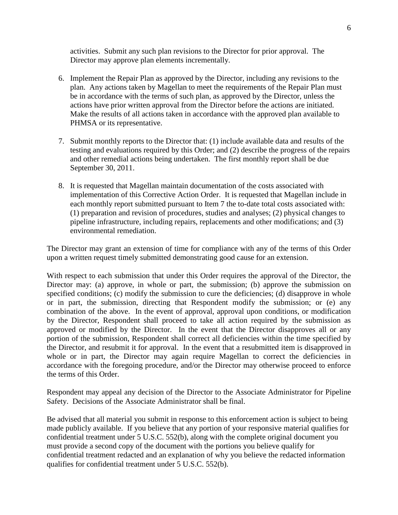activities. Submit any such plan revisions to the Director for prior approval. The Director may approve plan elements incrementally.

- 6. Implement the Repair Plan as approved by the Director, including any revisions to the plan. Any actions taken by Magellan to meet the requirements of the Repair Plan must be in accordance with the terms of such plan, as approved by the Director, unless the actions have prior written approval from the Director before the actions are initiated. Make the results of all actions taken in accordance with the approved plan available to PHMSA or its representative.
- 7. Submit monthly reports to the Director that: (1) include available data and results of the testing and evaluations required by this Order; and (2) describe the progress of the repairs and other remedial actions being undertaken. The first monthly report shall be due September 30, 2011.
- 8. It is requested that Magellan maintain documentation of the costs associated with implementation of this Corrective Action Order. It is requested that Magellan include in each monthly report submitted pursuant to Item 7 the to-date total costs associated with: (1) preparation and revision of procedures, studies and analyses; (2) physical changes to pipeline infrastructure, including repairs, replacements and other modifications; and (3) environmental remediation.

The Director may grant an extension of time for compliance with any of the terms of this Order upon a written request timely submitted demonstrating good cause for an extension.

With respect to each submission that under this Order requires the approval of the Director, the Director may: (a) approve, in whole or part, the submission; (b) approve the submission on specified conditions; (c) modify the submission to cure the deficiencies; (d) disapprove in whole or in part, the submission, directing that Respondent modify the submission; or (e) any combination of the above. In the event of approval, approval upon conditions, or modification by the Director, Respondent shall proceed to take all action required by the submission as approved or modified by the Director. In the event that the Director disapproves all or any portion of the submission, Respondent shall correct all deficiencies within the time specified by the Director, and resubmit it for approval. In the event that a resubmitted item is disapproved in whole or in part, the Director may again require Magellan to correct the deficiencies in accordance with the foregoing procedure, and/or the Director may otherwise proceed to enforce the terms of this Order.

Respondent may appeal any decision of the Director to the Associate Administrator for Pipeline Safety. Decisions of the Associate Administrator shall be final.

Be advised that all material you submit in response to this enforcement action is subject to being made publicly available. If you believe that any portion of your responsive material qualifies for confidential treatment under 5 U.S.C. 552(b), along with the complete original document you must provide a second copy of the document with the portions you believe qualify for confidential treatment redacted and an explanation of why you believe the redacted information qualifies for confidential treatment under 5 U.S.C. 552(b).